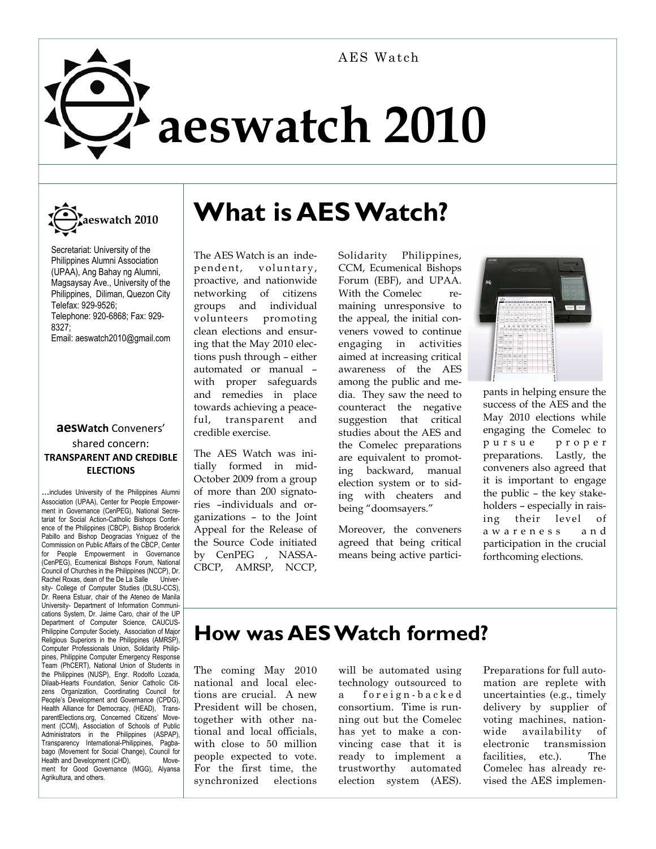# **aeswatch 2010**  AES Watch



Secretariat: University of the Philippines Alumni Association (UPAA), Ang Bahay ng Alumni, Magsaysay Ave., University of the Philippines, Diliman, Quezon City Telefax: 929-9526; Telephone: 920-6868; Fax: 929- 8327; Email: aeswatch2010@gmail.com

#### **aesWatch** Conveners' shared concern: **TRANSPARENT AND CREDIBLE ELECTIONS**

...includes University of the Philippines Alumni Association (UPAA), Center for People Empowerment in Governance (CenPEG), National Secretariat for Social Action-Catholic Bishops Conference of the Philippines (CBCP), Bishop Broderick Pabillo and Bishop Deogracias Yniguez of the Commission on Public Affairs of the CBCP, Center for People Empowerment in Governance (CenPEG), Ecumenical Bishops Forum, National Council of Churches in the Philippines (NCCP), Dr. Rachel Roxas, dean of the De La Salle University- College of Computer Studies (DLSU-CCS), Dr. Reena Estuar, chair of the Ateneo de Manila University- Department of Information Communications System, Dr. Jaime Caro, chair of the UP Department of Computer Science, CAUCUS-Philippine Computer Society, Association of Major Religious Superiors in the Philippines (AMRSP), Computer Professionals Union, Solidarity Philippines, Philippine Computer Emergency Response Team (PhCERT), National Union of Students in the Philippines (NUSP), Engr. Rodolfo Lozada, Dilaab-Hearts Foundation, Senior Catholic Citizens Organization, Coordinating Council for People's Development and Governance (CPDG), Health Alliance for Democracy, (HEAD), TransparentElections.org, Concerned Citizens' Movement (CCM), Association of Schools of Public Administrators in the Philippines (ASPAP), Transparency International-Philippines, Pagbabago (Movement for Social Change), Council for<br>Health and Development (CHD), Move-Health and Development (CHD), ment for Good Governance (MGG), Alyansa Agrikultura, and others.

## **What is AES Watch?**

The AES Watch is an independent, voluntary, proactive, and nationwide networking of citizens groups and individual volunteers promoting clean elections and ensuring that the May 2010 elections push through – either automated or manual – with proper safeguards and remedies in place towards achieving a peaceful, transparent and credible exercise.

The AES Watch was initially formed in mid-October 2009 from a group of more than 200 signatories –individuals and organizations – to the Joint Appeal for the Release of the Source Code initiated by CenPEG , NASSA-CBCP, AMRSP, NCCP, Solidarity Philippines, CCM, Ecumenical Bishops Forum (EBF), and UPAA. With the Comelec remaining unresponsive to the appeal, the initial conveners vowed to continue engaging in activities aimed at increasing critical awareness of the AES among the public and media. They saw the need to counteract the negative suggestion that critical studies about the AES and the Comelec preparations are equivalent to promoting backward, manual election system or to siding with cheaters and being "doomsayers."

Moreover, the conveners agreed that being critical means being active partici-



pants in helping ensure the success of the AES and the May 2010 elections while engaging the Comelec to p u r s u e p r o p e r preparations. Lastly, the conveners also agreed that it is important to engage the public – the key stakeholders – especially in raising their level of a w a r e n e s s a n d participation in the crucial forthcoming elections.

### **How was AES Watch formed?**

The coming May 2010 national and local elections are crucial. A new President will be chosen, together with other national and local officials, with close to 50 million people expected to vote. For the first time, the synchronized elections

will be automated using technology outsourced to a foreign-backed consortium. Time is running out but the Comelec has yet to make a convincing case that it is ready to implement a trustworthy automated election system (AES). Preparations for full automation are replete with uncertainties (e.g., timely delivery by supplier of voting machines, nationwide availability of electronic transmission facilities, etc.). The Comelec has already revised the AES implemen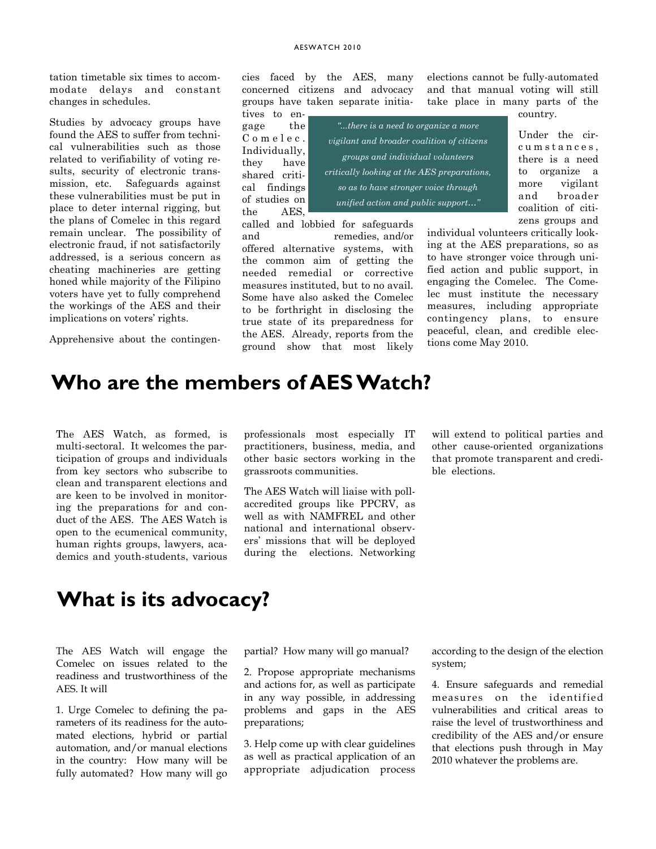tation timetable six times to accommodate delays and constant changes in schedules.

Studies by advocacy groups have found the AES to suffer from technical vulnerabilities such as those related to verifiability of voting results, security of electronic transmission, etc. Safeguards against these vulnerabilities must be put in place to deter internal rigging, but the plans of Comelec in this regard remain unclear. The possibility of electronic fraud, if not satisfactorily addressed, is a serious concern as cheating machineries are getting honed while majority of the Filipino voters have yet to fully comprehend the workings of the AES and their implications on voters' rights.

Apprehensive about the contingen-

cies faced by the AES, many concerned citizens and advocacy groups have taken separate initia-

and remedies, and/or offered alternative systems, with the common aim of getting the needed remedial or corrective measures instituted, but to no avail. Some have also asked the Comelec to be forthright in disclosing the true state of its preparedness for the AES. Already, reports from the ground show that most likely

tives to engage the C o m e l e c . Individually, they have shared critical findings of studies on the AES, called and lobbied for safeguards

*"...there is a need to organize a more vigilant and broader coalition of citizens groups and individual volunteers critically looking at the AES preparations, so as to have stronger voice through unified action and public support…"*

elections cannot be fully-automated and that manual voting will still take place in many parts of the country.

> Under the circumstances. there is a need to organize a more vigilant and broader coalition of citizens groups and

individual volunteers critically looking at the AES preparations, so as to have stronger voice through unified action and public support, in engaging the Comelec. The Comelec must institute the necessary measures, including appropriate contingency plans, to ensure peaceful, clean, and credible elections come May 2010.

#### **Who are the members of AES Watch?**

The AES Watch, as formed, is multi-sectoral. It welcomes the participation of groups and individuals from key sectors who subscribe to clean and transparent elections and are keen to be involved in monitoring the preparations for and conduct of the AES. The AES Watch is open to the ecumenical community, human rights groups, lawyers, academics and youth-students, various

professionals most especially IT practitioners, business, media, and other basic sectors working in the grassroots communities.

The AES Watch will liaise with pollaccredited groups like PPCRV, as well as with NAMFREL and other national and international observers' missions that will be deployed during the elections. Networking will extend to political parties and other cause-oriented organizations that promote transparent and credible elections.

#### **What is its advocacy?**

The AES Watch will engage the Comelec on issues related to the readiness and trustworthiness of the AES. It will

1. Urge Comelec to defining the parameters of its readiness for the automated elections, hybrid or partial automation, and/or manual elections in the country: How many will be fully automated? How many will go partial? How many will go manual?

2. Propose appropriate mechanisms and actions for, as well as participate in any way possible, in addressing problems and gaps in the AES preparations;

3. Help come up with clear guidelines as well as practical application of an appropriate adjudication process

according to the design of the election system;

4. Ensure safeguards and remedial measures on the identified vulnerabilities and critical areas to raise the level of trustworthiness and credibility of the AES and/or ensure that elections push through in May 2010 whatever the problems are.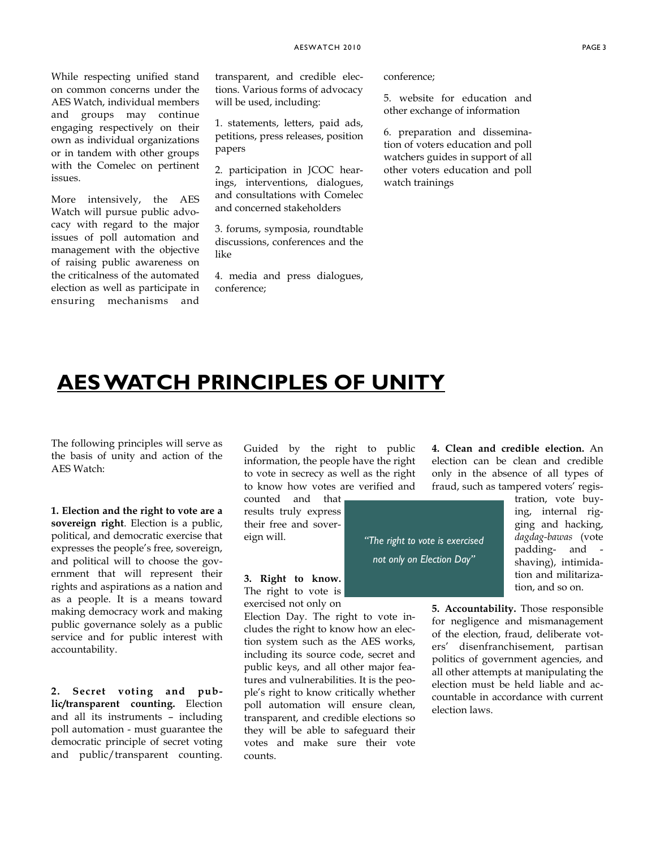While respecting unified stand on common concerns under the AES Watch, individual members and groups may continue engaging respectively on their own as individual organizations or in tandem with other groups with the Comelec on pertinent issues.

More intensively, the AES Watch will pursue public advocacy with regard to the major issues of poll automation and management with the objective of raising public awareness on the criticalness of the automated election as well as participate in ensuring mechanisms and transparent, and credible elections. Various forms of advocacy will be used, including:

1. statements, letters, paid ads, petitions, press releases, position papers

2. participation in JCOC hearings, interventions, dialogues, and consultations with Comelec and concerned stakeholders

3. forums, symposia, roundtable discussions, conferences and the like

4. media and press dialogues, conference;

conference;

*"The right to vote is exercised not only on Election Day"* 

5. website for education and other exchange of information

6. preparation and dissemination of voters education and poll watchers guides in support of all other voters education and poll watch trainings

#### **AES WATCH PRINCIPLES OF UNITY**

The following principles will serve as the basis of unity and action of the AES Watch:

**1. Election and the right to vote are a sovereign right**. Election is a public, political, and democratic exercise that expresses the people's free, sovereign, and political will to choose the government that will represent their rights and aspirations as a nation and as a people. It is a means toward making democracy work and making public governance solely as a public service and for public interest with accountability.

**2. Secret voting and public/transparent counting.** Election and all its instruments – including poll automation - must guarantee the democratic principle of secret voting and public/transparent counting.

Guided by the right to public information, the people have the right to vote in secrecy as well as the right to know how votes are verified and

counted and that results truly express their free and sovereign will.

**3. Right to know.** The right to vote is exercised not only on

Election Day. The right to vote includes the right to know how an election system such as the AES works, including its source code, secret and public keys, and all other major features and vulnerabilities. It is the people's right to know critically whether poll automation will ensure clean, transparent, and credible elections so they will be able to safeguard their votes and make sure their vote counts.

**4. Clean and credible election.** An election can be clean and credible only in the absence of all types of fraud, such as tampered voters' regis-

> tration, vote buying, internal rigging and hacking, *dagdag-bawas* (vote padding- and shaving), intimidation and militarization, and so on.

**5. Accountability.** Those responsible for negligence and mismanagement of the election, fraud, deliberate voters' disenfranchisement, partisan politics of government agencies, and all other attempts at manipulating the election must be held liable and accountable in accordance with current election laws.